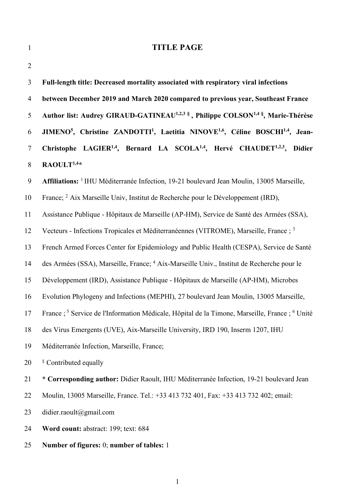| $\mathbf{1}$   | <b>TITLE PAGE</b>                                                                                                             |  |  |  |  |  |  |
|----------------|-------------------------------------------------------------------------------------------------------------------------------|--|--|--|--|--|--|
| $\overline{2}$ |                                                                                                                               |  |  |  |  |  |  |
| $\mathfrak{Z}$ | Full-length title: Decreased mortality associated with respiratory viral infections                                           |  |  |  |  |  |  |
| $\overline{4}$ | between December 2019 and March 2020 compared to previous year, Southeast France                                              |  |  |  |  |  |  |
| 5              | Author list: Audrey GIRAUD-GATINEAU <sup>1,2,3</sup> §, Philippe COLSON <sup>1,4</sup> §, Marie-Thérèse                       |  |  |  |  |  |  |
| 6              | JIMENO <sup>5</sup> , Christine ZANDOTTI <sup>1</sup> , Laetitia NINOVE <sup>1,6</sup> , Céline BOSCHI <sup>1,4</sup> , Jean- |  |  |  |  |  |  |
| $\tau$         | Christophe LAGIER <sup>1,4</sup> , Bernard LA SCOLA <sup>1,4</sup> , Hervé CHAUDET <sup>1,2,3</sup> , Didier                  |  |  |  |  |  |  |
| 8              | RAOULT <sup>1,4*</sup>                                                                                                        |  |  |  |  |  |  |
| 9              | Affiliations: <sup>1</sup> IHU Méditerranée Infection, 19-21 boulevard Jean Moulin, 13005 Marseille,                          |  |  |  |  |  |  |
| 10             | France; <sup>2</sup> Aix Marseille Univ, Institut de Recherche pour le Développement (IRD),                                   |  |  |  |  |  |  |
| 11             | Assistance Publique - Hôpitaux de Marseille (AP-HM), Service de Santé des Armées (SSA),                                       |  |  |  |  |  |  |
| 12             | Vecteurs - Infections Tropicales et Méditerranéennes (VITROME), Marseille, France ; 3                                         |  |  |  |  |  |  |
| 13             | French Armed Forces Center for Epidemiology and Public Health (CESPA), Service de Santé                                       |  |  |  |  |  |  |
| 14             | des Armées (SSA), Marseille, France; <sup>4</sup> Aix-Marseille Univ., Institut de Recherche pour le                          |  |  |  |  |  |  |
| 15             | Développement (IRD), Assistance Publique - Hôpitaux de Marseille (AP-HM), Microbes                                            |  |  |  |  |  |  |
| 16             | Evolution Phylogeny and Infections (MEPHI), 27 boulevard Jean Moulin, 13005 Marseille,                                        |  |  |  |  |  |  |
| 17             | France ; <sup>5</sup> Service de l'Information Médicale, Hôpital de la Timone, Marseille, France ; <sup>6</sup> Unité         |  |  |  |  |  |  |
| 18             | des Virus Emergents (UVE), Aix-Marseille University, IRD 190, Inserm 1207, IHU                                                |  |  |  |  |  |  |
| 19             | Méditerranée Infection, Marseille, France;                                                                                    |  |  |  |  |  |  |
| 20             | <sup>§</sup> Contributed equally                                                                                              |  |  |  |  |  |  |
| 21             | * Corresponding author: Didier Raoult, IHU Méditerranée Infection, 19-21 boulevard Jean                                       |  |  |  |  |  |  |
| 22             | Moulin, 13005 Marseille, France. Tel.: +33 413 732 401, Fax: +33 413 732 402; email:                                          |  |  |  |  |  |  |
| 23             | didier.raoult@gmail.com                                                                                                       |  |  |  |  |  |  |
| 24             | Word count: abstract: 199; text: 684                                                                                          |  |  |  |  |  |  |
| 25             | Number of figures: 0; number of tables: 1                                                                                     |  |  |  |  |  |  |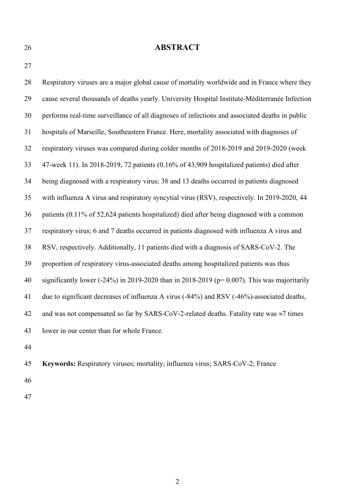## **ABSTRACT**

 Respiratory viruses are a major global cause of mortality worldwide and in France where they cause several thousands of deaths yearly. University Hospital Institute-Méditerranée Infection performs real-time surveillance of all diagnoses of infections and associated deaths in public hospitals of Marseille, Southeastern France. Here, mortality associated with diagnoses of respiratory viruses was compared during colder months of 2018-2019 and 2019-2020 (week 47-week 11). In 2018-2019, 72 patients (0.16% of 43,909 hospitalized patients) died after being diagnosed with a respiratory virus; 38 and 13 deaths occurred in patients diagnosed with influenza A virus and respiratory syncytial virus (RSV), respectively. In 2019-2020, 44 patients (0.11% of 52,624 patients hospitalized) died after being diagnosed with a common respiratory virus; 6 and 7 deaths occurred in patients diagnosed with influenza A virus and RSV, respectively. Additionally, 11 patients died with a diagnosis of SARS-CoV-2. The proportion of respiratory virus-associated deaths among hospitalized patients was thus significantly lower (-24%) in 2019-2020 than in 2018-2019 (p= 0.007). This was majoritarily due to significant decreases of influenza A virus (-84%) and RSV (-46%)-associated deaths, 42 and was not compensated so far by SARS-CoV-2-related deaths. Fatality rate was  $\approx$ 7 times lower in our center than for whole France. 

- **Keywords:** Respiratory viruses; mortality; influenza virus; SARS-CoV-2; France
- 
-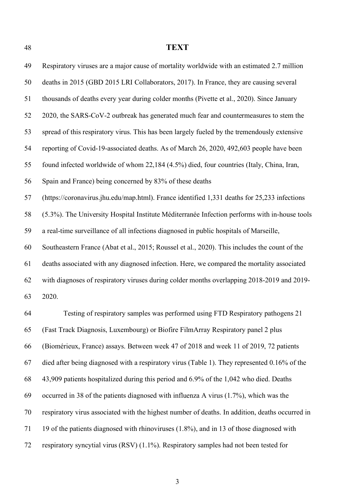## **TEXT**

| 49 | Respiratory viruses are a major cause of mortality worldwide with an estimated 2.7 million      |
|----|-------------------------------------------------------------------------------------------------|
| 50 | deaths in 2015 (GBD 2015 LRI Collaborators, 2017). In France, they are causing several          |
| 51 | thousands of deaths every year during colder months (Pivette et al., 2020). Since January       |
| 52 | 2020, the SARS-CoV-2 outbreak has generated much fear and countermeasures to stem the           |
| 53 | spread of this respiratory virus. This has been largely fueled by the tremendously extensive    |
| 54 | reporting of Covid-19-associated deaths. As of March 26, 2020, 492,603 people have been         |
| 55 | found infected worldwide of whom 22,184 (4.5%) died, four countries (Italy, China, Iran,        |
| 56 | Spain and France) being concerned by 83% of these deaths                                        |
| 57 | (https://coronavirus.jhu.edu/map.html). France identified 1,331 deaths for 25,233 infections    |
| 58 | (5.3%). The University Hospital Institute Méditerranée Infection performs with in-house tools   |
| 59 | a real-time surveillance of all infections diagnosed in public hospitals of Marseille,          |
| 60 | Southeastern France (Abat et al., 2015; Roussel et al., 2020). This includes the count of the   |
| 61 | deaths associated with any diagnosed infection. Here, we compared the mortality associated      |
| 62 | with diagnoses of respiratory viruses during colder months overlapping 2018-2019 and 2019-      |
| 63 | 2020.                                                                                           |
| 64 | Testing of respiratory samples was performed using FTD Respiratory pathogens 21                 |
| 65 | (Fast Track Diagnosis, Luxembourg) or Biofire FilmArray Respiratory panel 2 plus                |
| 66 | (Biomérieux, France) assays. Between week 47 of 2018 and week 11 of 2019, 72 patients           |
| 67 | died after being diagnosed with a respiratory virus (Table 1). They represented 0.16% of the    |
| 68 | 43,909 patients hospitalized during this period and 6.9% of the 1,042 who died. Deaths          |
| 69 | occurred in 38 of the patients diagnosed with influenza A virus (1.7%), which was the           |
| 70 | respiratory virus associated with the highest number of deaths. In addition, deaths occurred in |
| 71 | 19 of the patients diagnosed with rhinoviruses (1.8%), and in 13 of those diagnosed with        |
| 72 | respiratory syncytial virus (RSV) $(1.1\%)$ . Respiratory samples had not been tested for       |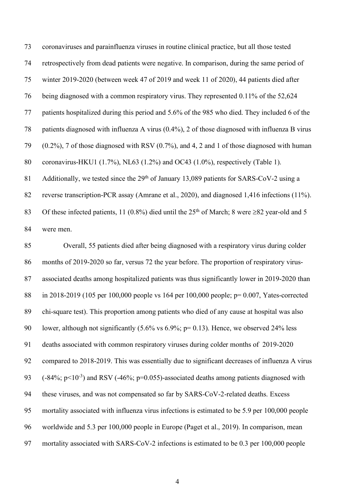coronaviruses and parainfluenza viruses in routine clinical practice, but all those tested retrospectively from dead patients were negative. In comparison, during the same period of winter 2019-2020 (between week 47 of 2019 and week 11 of 2020), 44 patients died after being diagnosed with a common respiratory virus. They represented 0.11% of the 52,624 patients hospitalized during this period and 5.6% of the 985 who died. They included 6 of the patients diagnosed with influenza A virus (0.4%), 2 of those diagnosed with influenza B virus (0.2%), 7 of those diagnosed with RSV (0.7%), and 4, 2 and 1 of those diagnosed with human coronavirus-HKU1 (1.7%), NL63 (1.2%) and OC43 (1.0%), respectively (Table 1). 81 Additionally, we tested since the  $29<sup>th</sup>$  of January 13,089 patients for SARS-CoV-2 using a reverse transcription-PCR assay (Amrane et al., 2020), and diagnosed 1,416 infections (11%). 83 Of these infected patients, 11 (0.8%) died until the  $25<sup>th</sup>$  of March; 8 were  $\geq 82$  year-old and 5 were men.

 Overall, 55 patients died after being diagnosed with a respiratory virus during colder months of 2019-2020 so far, versus 72 the year before. The proportion of respiratory virus- associated deaths among hospitalized patients was thus significantly lower in 2019-2020 than in 2018-2019 (105 per 100,000 people vs 164 per 100,000 people; p= 0.007, Yates-corrected chi-square test). This proportion among patients who died of any cause at hospital was also lower, although not significantly (5.6% vs 6.9%; p= 0.13). Hence, we observed 24% less deaths associated with common respiratory viruses during colder months of 2019-2020 compared to 2018-2019. This was essentially due to significant decreases of influenza A virus  $(93 \text{ } (-84\%; \text{ } p<10^{-3})$  and RSV ( $-46\%; \text{ } p=0.055$ )-associated deaths among patients diagnosed with these viruses, and was not compensated so far by SARS-CoV-2-related deaths. Excess mortality associated with influenza virus infections is estimated to be 5.9 per 100,000 people worldwide and 5.3 per 100,000 people in Europe (Paget et al., 2019). In comparison, mean mortality associated with SARS-CoV-2 infections is estimated to be 0.3 per 100,000 people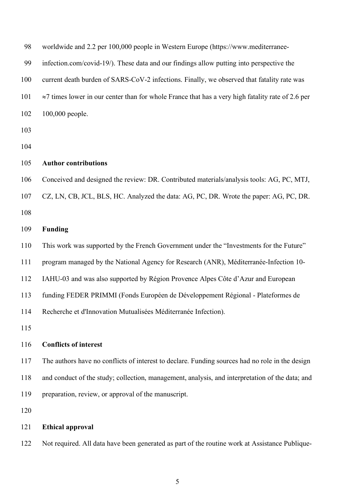| 98  | worldwide and 2.2 per 100,000 people in Western Europe (https://www.mediterranee-                         |
|-----|-----------------------------------------------------------------------------------------------------------|
| 99  | infection.com/covid-19/). These data and our findings allow putting into perspective the                  |
| 100 | current death burden of SARS-CoV-2 infections. Finally, we observed that fatality rate was                |
| 101 | $\approx$ 7 times lower in our center than for whole France that has a very high fatality rate of 2.6 per |
| 102 | 100,000 people.                                                                                           |
| 103 |                                                                                                           |
| 104 |                                                                                                           |
| 105 | <b>Author contributions</b>                                                                               |
| 106 | Conceived and designed the review: DR. Contributed materials/analysis tools: AG, PC, MTJ,                 |
| 107 | CZ, LN, CB, JCL, BLS, HC. Analyzed the data: AG, PC, DR. Wrote the paper: AG, PC, DR.                     |
| 108 |                                                                                                           |
| 109 | <b>Funding</b>                                                                                            |
| 110 | This work was supported by the French Government under the "Investments for the Future"                   |
| 111 | program managed by the National Agency for Research (ANR), Méditerranée-Infection 10-                     |
| 112 | IAHU-03 and was also supported by Région Provence Alpes Côte d'Azur and European                          |
| 113 | funding FEDER PRIMMI (Fonds Européen de Développement Régional - Plateformes de                           |
| 114 | Recherche et d'Innovation Mutualisées Méditerranée Infection).                                            |
| 115 |                                                                                                           |
| 116 | <b>Conflicts of interest</b>                                                                              |
| 117 | The authors have no conflicts of interest to declare. Funding sources had no role in the design           |
| 118 | and conduct of the study; collection, management, analysis, and interpretation of the data; and           |
| 119 | preparation, review, or approval of the manuscript.                                                       |
| 120 |                                                                                                           |
| 121 | <b>Ethical approval</b>                                                                                   |

Not required. All data have been generated as part of the routine work at Assistance Publique-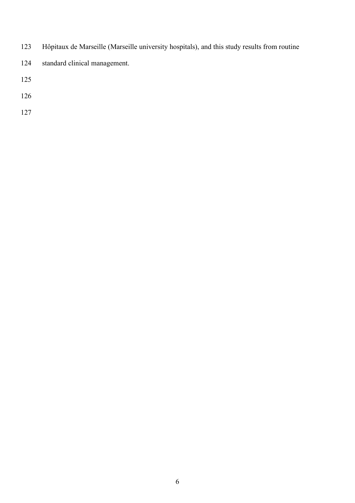- Hôpitaux de Marseille (Marseille university hospitals), and this study results from routine
- standard clinical management.
- 
- 
-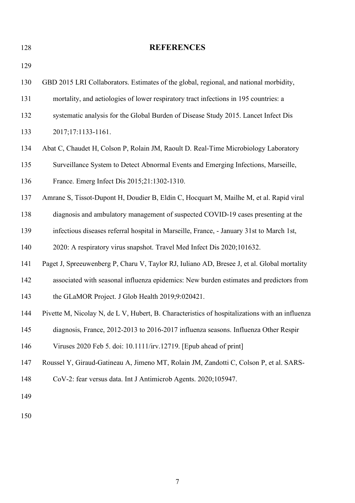**REFERENCES** GBD 2015 LRI Collaborators. Estimates of the global, regional, and national morbidity, mortality, and aetiologies of lower respiratory tract infections in 195 countries: a systematic analysis for the Global Burden of Disease Study 2015. Lancet Infect Dis 2017;17:1133-1161. Abat C, Chaudet H, Colson P, Rolain JM, Raoult D. Real-Time Microbiology Laboratory Surveillance System to Detect Abnormal Events and Emerging Infections, Marseille, France. Emerg Infect Dis 2015;21:1302-1310. Amrane S, Tissot-Dupont H, Doudier B, Eldin C, Hocquart M, Mailhe M, et al. Rapid viral diagnosis and ambulatory management of suspected COVID-19 cases presenting at the infectious diseases referral hospital in Marseille, France, - January 31st to March 1st, 2020: A respiratory virus snapshot. Travel Med Infect Dis 2020;101632. Paget J, Spreeuwenberg P, Charu V, Taylor RJ, Iuliano AD, Bresee J, et al. Global mortality associated with seasonal influenza epidemics: New burden estimates and predictors from the GLaMOR Project. J Glob Health 2019;9:020421. Pivette M, Nicolay N, de L V, Hubert, B. Characteristics of hospitalizations with an influenza diagnosis, France, 2012-2013 to 2016-2017 influenza seasons. Influenza Other Respir Viruses 2020 Feb 5. doi: 10.1111/irv.12719. [Epub ahead of print] Roussel Y, Giraud-Gatineau A, Jimeno MT, Rolain JM, Zandotti C, Colson P, et al. SARS- CoV-2: fear versus data. Int J Antimicrob Agents. 2020;105947.